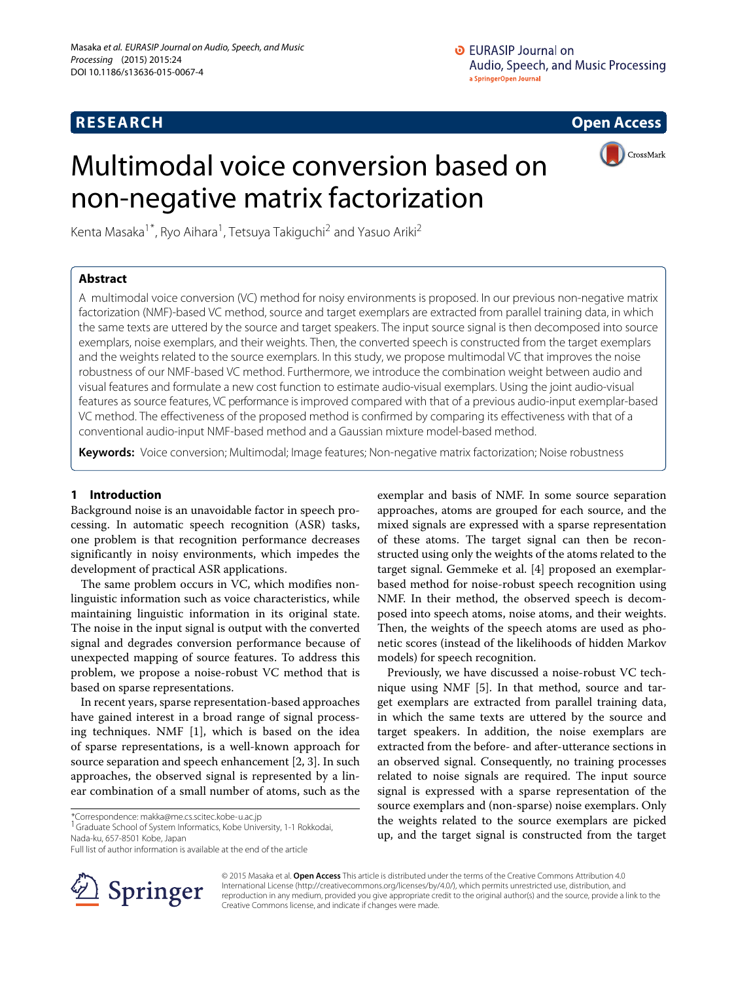# **RESEARCH Open Access**

# Multimodal voice conversion based on non-negative matrix factorization



Kenta Masaka<sup>1\*</sup>, Ryo Aihara<sup>1</sup>, Tetsuya Takiguchi<sup>2</sup> and Yasuo Ariki<sup>2</sup>

## **Abstract**

A multimodal voice conversion (VC) method for noisy environments is proposed. In our previous non-negative matrix factorization (NMF)-based VC method, source and target exemplars are extracted from parallel training data, in which the same texts are uttered by the source and target speakers. The input source signal is then decomposed into source exemplars, noise exemplars, and their weights. Then, the converted speech is constructed from the target exemplars and the weights related to the source exemplars. In this study, we propose multimodal VC that improves the noise robustness of our NMF-based VC method. Furthermore, we introduce the combination weight between audio and visual features and formulate a new cost function to estimate audio-visual exemplars. Using the joint audio-visual features as source features, VC performance is improved compared with that of a previous audio-input exemplar-based VC method. The effectiveness of the proposed method is confirmed by comparing its effectiveness with that of a conventional audio-input NMF-based method and a Gaussian mixture model-based method.

**Keywords:** Voice conversion; Multimodal; Image features; Non-negative matrix factorization; Noise robustness

## **1 Introduction**

Background noise is an unavoidable factor in speech processing. In automatic speech recognition (ASR) tasks, one problem is that recognition performance decreases significantly in noisy environments, which impedes the development of practical ASR applications.

The same problem occurs in VC, which modifies nonlinguistic information such as voice characteristics, while maintaining linguistic information in its original state. The noise in the input signal is output with the converted signal and degrades conversion performance because of unexpected mapping of source features. To address this problem, we propose a noise-robust VC method that is based on sparse representations.

In recent years, sparse representation-based approaches have gained interest in a broad range of signal processing techniques. NMF [\[1\]](#page-7-0), which is based on the idea of sparse representations, is a well-known approach for source separation and speech enhancement [\[2,](#page-7-1) [3\]](#page-7-2). In such approaches, the observed signal is represented by a linear combination of a small number of atoms, such as the

\*Correspondence: [makka@me.cs.scitec.kobe-u.ac.jp](mailto: makka@me.cs.scitec.kobe-u.ac.jp)

1Graduate School of System Informatics, Kobe University, 1-1 Rokkodai, Nada-ku, 657-8501 Kobe, Japan

exemplar and basis of NMF. In some source separation approaches, atoms are grouped for each source, and the mixed signals are expressed with a sparse representation of these atoms. The target signal can then be reconstructed using only the weights of the atoms related to the target signal. Gemmeke et al. [\[4\]](#page-7-3) proposed an exemplarbased method for noise-robust speech recognition using NMF. In their method, the observed speech is decomposed into speech atoms, noise atoms, and their weights. Then, the weights of the speech atoms are used as phonetic scores (instead of the likelihoods of hidden Markov models) for speech recognition.

Previously, we have discussed a noise-robust VC technique using NMF [\[5\]](#page-7-4). In that method, source and target exemplars are extracted from parallel training data, in which the same texts are uttered by the source and target speakers. In addition, the noise exemplars are extracted from the before- and after-utterance sections in an observed signal. Consequently, no training processes related to noise signals are required. The input source signal is expressed with a sparse representation of the source exemplars and (non-sparse) noise exemplars. Only the weights related to the source exemplars are picked up, and the target signal is constructed from the target



© 2015 Masaka et al. **Open Access** This article is distributed under the terms of the Creative Commons Attribution 4.0 International License [\(http://creativecommons.org/licenses/by/4.0/\)](http://creativecommons.org/licenses/by/4.0/), which permits unrestricted use, distribution, and reproduction in any medium, provided you give appropriate credit to the original author(s) and the source, provide a link to the Creative Commons license, and indicate if changes were made.

Full list of author information is available at the end of the article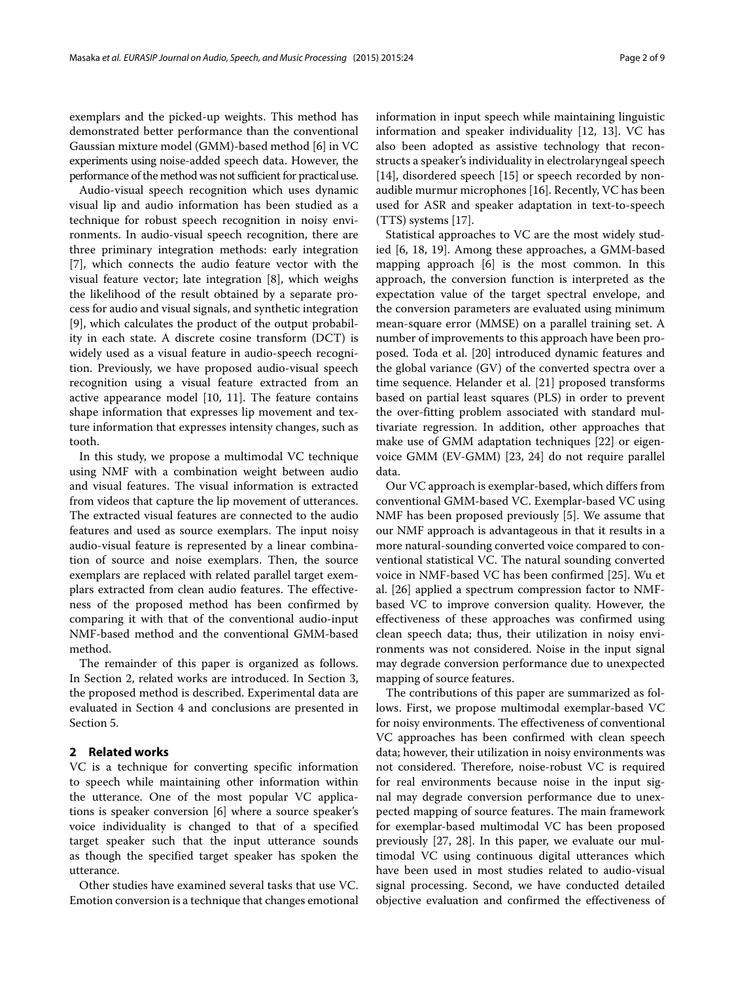exemplars and the picked-up weights. This method has demonstrated better performance than the conventional Gaussian mixture model (GMM)-based method [\[6\]](#page-7-5) in VC experiments using noise-added speech data. However, the performance of the method was not sufficient for practicaluse.

Audio-visual speech recognition which uses dynamic visual lip and audio information has been studied as a technique for robust speech recognition in noisy environments. In audio-visual speech recognition, there are three priminary integration methods: early integration [\[7\]](#page-7-6), which connects the audio feature vector with the visual feature vector; late integration [\[8\]](#page-7-7), which weighs the likelihood of the result obtained by a separate process for audio and visual signals, and synthetic integration [\[9\]](#page-7-8), which calculates the product of the output probability in each state. A discrete cosine transform (DCT) is widely used as a visual feature in audio-speech recognition. Previously, we have proposed audio-visual speech recognition using a visual feature extracted from an active appearance model [\[10,](#page-7-9) [11\]](#page-7-10). The feature contains shape information that expresses lip movement and texture information that expresses intensity changes, such as tooth.

In this study, we propose a multimodal VC technique using NMF with a combination weight between audio and visual features. The visual information is extracted from videos that capture the lip movement of utterances. The extracted visual features are connected to the audio features and used as source exemplars. The input noisy audio-visual feature is represented by a linear combination of source and noise exemplars. Then, the source exemplars are replaced with related parallel target exemplars extracted from clean audio features. The effectiveness of the proposed method has been confirmed by comparing it with that of the conventional audio-input NMF-based method and the conventional GMM-based method.

The remainder of this paper is organized as follows. In Section [2,](#page-1-0) related works are introduced. In Section [3,](#page-2-0) the proposed method is described. Experimental data are evaluated in Section [4](#page-5-0) and conclusions are presented in Section [5.](#page-7-11)

## <span id="page-1-0"></span>**2 Related works**

VC is a technique for converting specific information to speech while maintaining other information within the utterance. One of the most popular VC applications is speaker conversion [\[6\]](#page-7-5) where a source speaker's voice individuality is changed to that of a specified target speaker such that the input utterance sounds as though the specified target speaker has spoken the utterance.

Other studies have examined several tasks that use VC. Emotion conversion is a technique that changes emotional information in input speech while maintaining linguistic information and speaker individuality [\[12,](#page-7-12) [13\]](#page-7-13). VC has also been adopted as assistive technology that reconstructs a speaker's individuality in electrolaryngeal speech [\[14\]](#page-7-14), disordered speech [\[15\]](#page-7-15) or speech recorded by nonaudible murmur microphones [\[16\]](#page-7-16). Recently, VC has been used for ASR and speaker adaptation in text-to-speech (TTS) systems [\[17\]](#page-7-17).

Statistical approaches to VC are the most widely studied [\[6,](#page-7-5) [18,](#page-7-18) [19\]](#page-7-19). Among these approaches, a GMM-based mapping approach [\[6\]](#page-7-5) is the most common. In this approach, the conversion function is interpreted as the expectation value of the target spectral envelope, and the conversion parameters are evaluated using minimum mean-square error (MMSE) on a parallel training set. A number of improvements to this approach have been proposed. Toda et al. [\[20\]](#page-7-20) introduced dynamic features and the global variance (GV) of the converted spectra over a time sequence. Helander et al. [\[21\]](#page-7-21) proposed transforms based on partial least squares (PLS) in order to prevent the over-fitting problem associated with standard multivariate regression. In addition, other approaches that make use of GMM adaptation techniques [\[22\]](#page-8-0) or eigenvoice GMM (EV-GMM) [\[23,](#page-8-1) [24\]](#page-8-2) do not require parallel data.

Our VC approach is exemplar-based, which differs from conventional GMM-based VC. Exemplar-based VC using NMF has been proposed previously [\[5\]](#page-7-4). We assume that our NMF approach is advantageous in that it results in a more natural-sounding converted voice compared to conventional statistical VC. The natural sounding converted voice in NMF-based VC has been confirmed [\[25\]](#page-8-3). Wu et al. [\[26\]](#page-8-4) applied a spectrum compression factor to NMFbased VC to improve conversion quality. However, the effectiveness of these approaches was confirmed using clean speech data; thus, their utilization in noisy environments was not considered. Noise in the input signal may degrade conversion performance due to unexpected mapping of source features.

The contributions of this paper are summarized as follows. First, we propose multimodal exemplar-based VC for noisy environments. The effectiveness of conventional VC approaches has been confirmed with clean speech data; however, their utilization in noisy environments was not considered. Therefore, noise-robust VC is required for real environments because noise in the input signal may degrade conversion performance due to unexpected mapping of source features. The main framework for exemplar-based multimodal VC has been proposed previously [\[27,](#page-8-5) [28\]](#page-8-6). In this paper, we evaluate our multimodal VC using continuous digital utterances which have been used in most studies related to audio-visual signal processing. Second, we have conducted detailed objective evaluation and confirmed the effectiveness of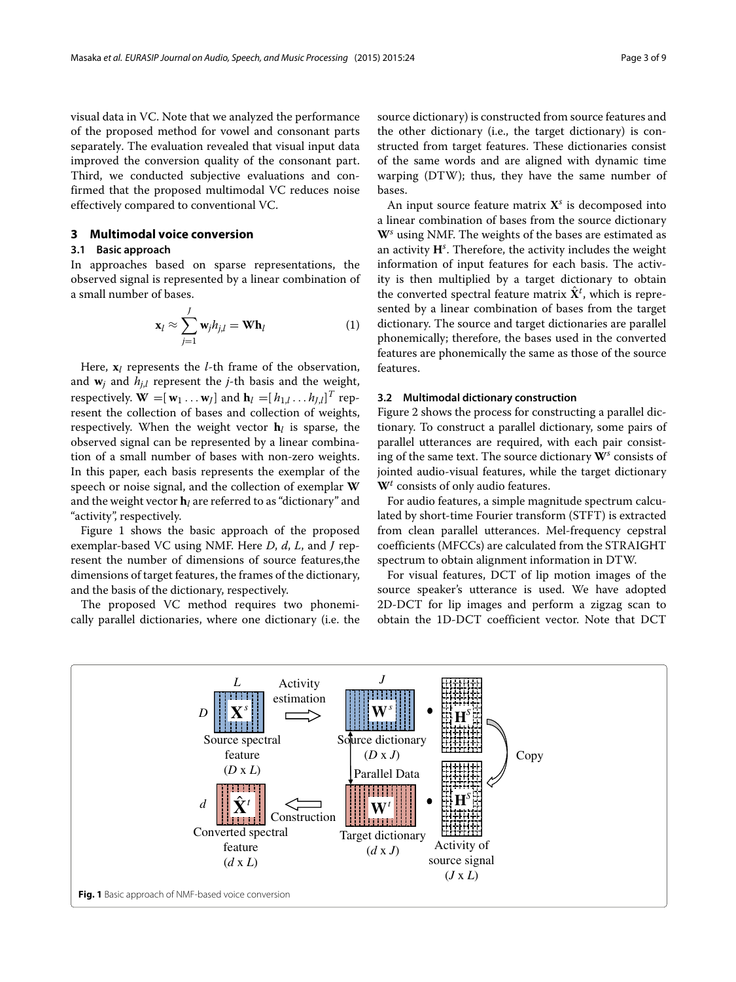visual data in VC. Note that we analyzed the performance of the proposed method for vowel and consonant parts separately. The evaluation revealed that visual input data improved the conversion quality of the consonant part. Third, we conducted subjective evaluations and confirmed that the proposed multimodal VC reduces noise effectively compared to conventional VC.

#### <span id="page-2-0"></span>**3 Multimodal voice conversion**

#### **3.1 Basic approach**

In approaches based on sparse representations, the observed signal is represented by a linear combination of a small number of bases.

$$
\mathbf{x}_{l} \approx \sum_{j=1}^{J} \mathbf{w}_{j} h_{j,l} = \mathbf{W} \mathbf{h}_{l}
$$
 (1)

Here, **x***<sup>l</sup>* represents the *l*-th frame of the observation, and  $w_j$  and  $h_{j,l}$  represent the *j*-th basis and the weight, respectively.  $\mathbf{W} = [\mathbf{w}_1 \dots \mathbf{w}_J]$  and  $\mathbf{h}_l = [h_{1,l} \dots h_{J,l}]^T$  represent the collection of bases and collection of weights, respectively. When the weight vector  $h_l$  is sparse, the observed signal can be represented by a linear combination of a small number of bases with non-zero weights. In this paper, each basis represents the exemplar of the speech or noise signal, and the collection of exemplar **W** and the weight vector  $\mathbf{h}_l$  are referred to as "dictionary" and "activity", respectively.

Figure [1](#page-2-1) shows the basic approach of the proposed exemplar-based VC using NMF. Here *D*, *d*, *L*, and *J* represent the number of dimensions of source features,the dimensions of target features, the frames of the dictionary, and the basis of the dictionary, respectively.

The proposed VC method requires two phonemically parallel dictionaries, where one dictionary (i.e. the source dictionary) is constructed from source features and the other dictionary (i.e., the target dictionary) is constructed from target features. These dictionaries consist of the same words and are aligned with dynamic time warping (DTW); thus, they have the same number of bases.

An input source feature matrix **X***<sup>s</sup>* is decomposed into a linear combination of bases from the source dictionary **W***<sup>s</sup>* using NMF. The weights of the bases are estimated as an activity **H***<sup>s</sup>* . Therefore, the activity includes the weight information of input features for each basis. The activity is then multiplied by a target dictionary to obtain the converted spectral feature matrix  $\hat{\mathbf{X}}^{t}$ , which is represented by a linear combination of bases from the target dictionary. The source and target dictionaries are parallel phonemically; therefore, the bases used in the converted features are phonemically the same as those of the source features.

#### **3.2 Multimodal dictionary construction**

Figure [2](#page-3-0) shows the process for constructing a parallel dictionary. To construct a parallel dictionary, some pairs of parallel utterances are required, with each pair consisting of the same text. The source dictionary **W***<sup>s</sup>* consists of jointed audio-visual features, while the target dictionary **W***<sup>t</sup>* consists of only audio features.

For audio features, a simple magnitude spectrum calculated by short-time Fourier transform (STFT) is extracted from clean parallel utterances. Mel-frequency cepstral coefficients (MFCCs) are calculated from the STRAIGHT spectrum to obtain alignment information in DTW.

For visual features, DCT of lip motion images of the source speaker's utterance is used. We have adopted 2D-DCT for lip images and perform a zigzag scan to obtain the 1D-DCT coefficient vector. Note that DCT

<span id="page-2-1"></span>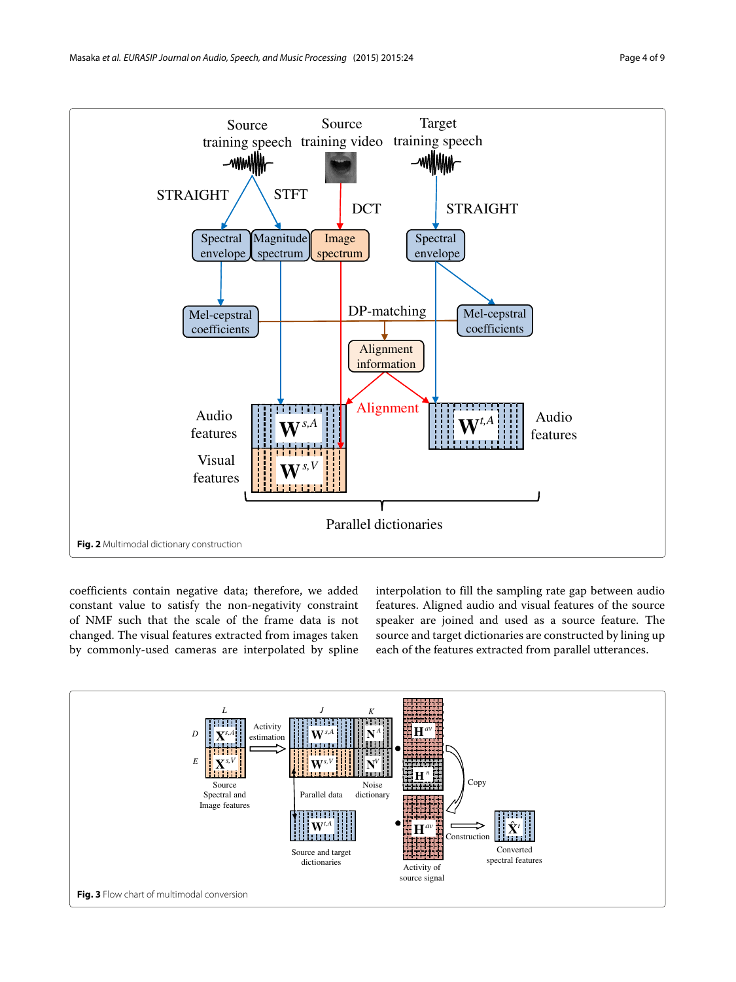

<span id="page-3-0"></span>coefficients contain negative data; therefore, we added constant value to satisfy the non-negativity constraint of NMF such that the scale of the frame data is not changed. The visual features extracted from images taken by commonly-used cameras are interpolated by spline interpolation to fill the sampling rate gap between audio features. Aligned audio and visual features of the source speaker are joined and used as a source feature. The source and target dictionaries are constructed by lining up each of the features extracted from parallel utterances.

<span id="page-3-1"></span>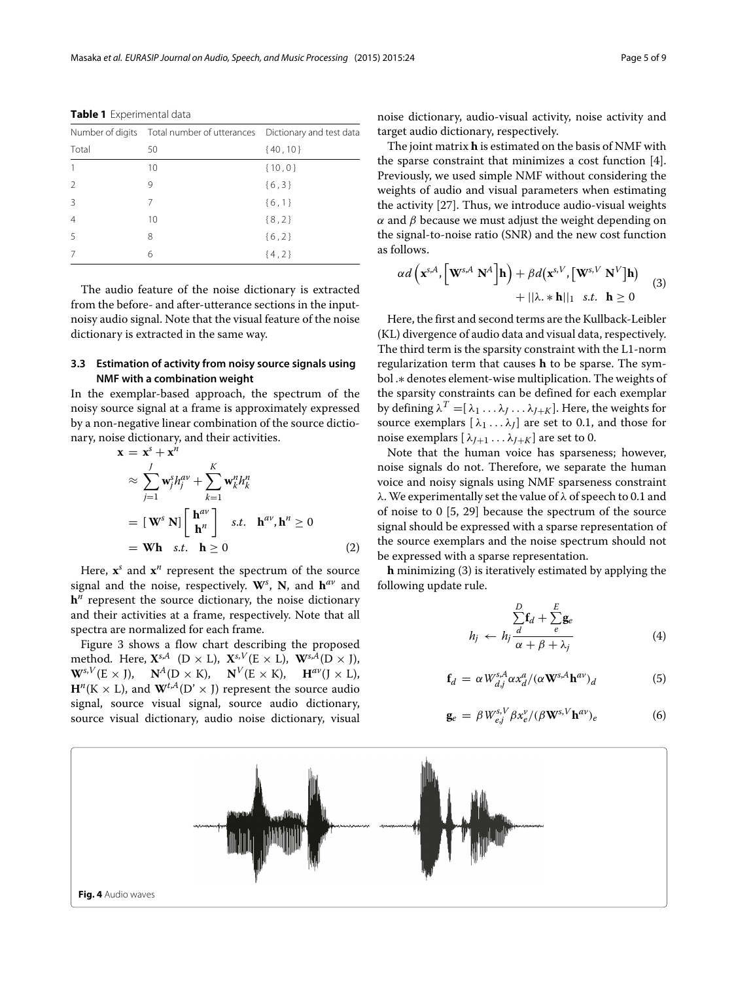|       | Number of digits Total number of utterances Dictionary and test data |            |
|-------|----------------------------------------------------------------------|------------|
| Total | 50                                                                   | ${40, 10}$ |
|       | 10                                                                   | ${10,0}$   |
|       | 9                                                                    | ${6,3}$    |
| Β     |                                                                      | ${6,1}$    |
|       | 10                                                                   | ${8,2}$    |
| 5     | 8                                                                    | ${6,2}$    |
|       | 6                                                                    | ${4,2}$    |

<span id="page-4-1"></span>**Table 1** Experimental data

The audio feature of the noise dictionary is extracted from the before- and after-utterance sections in the inputnoisy audio signal. Note that the visual feature of the noise dictionary is extracted in the same way.

### **3.3 Estimation of activity from noisy source signals using NMF with a combination weight**

In the exemplar-based approach, the spectrum of the noisy source signal at a frame is approximately expressed by a non-negative linear combination of the source dictionary, noise dictionary, and their activities.

$$
\mathbf{x} = \mathbf{x}^{s} + \mathbf{x}^{n}
$$
\n
$$
\approx \sum_{j=1}^{J} \mathbf{w}_{j}^{s} h_{j}^{av} + \sum_{k=1}^{K} \mathbf{w}_{k}^{n} h_{k}^{n}
$$
\n
$$
= [\mathbf{W}^{s} \mathbf{N}] \begin{bmatrix} \mathbf{h}^{av} \\ \mathbf{h}^{n} \end{bmatrix} \text{ s.t. } \mathbf{h}^{av}, \mathbf{h}^{n} \ge 0
$$
\n
$$
= \mathbf{W} \mathbf{h} \quad \text{s.t.} \quad \mathbf{h} \ge 0 \tag{2}
$$

Here,  $x^s$  and  $x^n$  represent the spectrum of the source signal and the noise, respectively. **W***<sup>s</sup>* , **N**, and **h***av* and  $h^n$  represent the source dictionary, the noise dictionary and their activities at a frame, respectively. Note that all spectra are normalized for each frame.

Figure [3](#page-3-1) shows a flow chart describing the proposed method. Here,  $\mathbf{X}^{s,A}$  (D × L),  $\mathbf{X}^{s,V}(\mathbf{E} \times \mathbf{L})$ ,  $\mathbf{W}^{s,A}(\mathbf{D} \times \mathbf{J})$ ,  $\mathbf{W}^{s,V}(\mathbf{E} \times \mathbf{J}), \quad \mathbf{N}^A(\mathbf{D} \times \mathbf{K}), \quad \mathbf{N}^V(\mathbf{E} \times \mathbf{K}), \quad \mathbf{H}^{av}(\mathbf{J} \times \mathbf{L}),$  $\mathbf{H}^{n}(\mathbf{K} \times \mathbf{L})$ , and  $\mathbf{W}^{t,A}(\mathbf{D}^{\prime} \times \mathbf{J})$  represent the source audio signal, source visual signal, source audio dictionary, source visual dictionary, audio noise dictionary, visual

noise dictionary, audio-visual activity, noise activity and target audio dictionary, respectively.

The joint matrix **h** is estimated on the basis of NMF with the sparse constraint that minimizes a cost function [\[4\]](#page-7-3). Previously, we used simple NMF without considering the weights of audio and visual parameters when estimating the activity [\[27\]](#page-8-5). Thus, we introduce audio-visual weights  $\alpha$  and  $\beta$  because we must adjust the weight depending on the signal-to-noise ratio (SNR) and the new cost function as follows.

<span id="page-4-0"></span>
$$
\alpha d\left(\mathbf{x}^{s,A}, \left[\mathbf{W}^{s,A} \ \mathbf{N}^A\right] \mathbf{h}\right) + \beta d\left(\mathbf{x}^{s,V}, \left[\mathbf{W}^{s,V} \ \mathbf{N}^V\right] \mathbf{h}\right) \\ + ||\lambda \cdot \mathbf{x} \ \mathbf{h}||_1 \ \ s.t. \ \ \mathbf{h} \geq 0 \tag{3}
$$

Here, the first and second terms are the Kullback-Leibler (KL) divergence of audio data and visual data, respectively. The third term is the sparsity constraint with the L1-norm regularization term that causes **h** to be sparse. The symbol .∗ denotes element-wise multiplication. The weights of the sparsity constraints can be defined for each exemplar by defining  $\lambda^T = [\lambda_1 \dots \lambda_J \dots \lambda_{J+K}]$ . Here, the weights for source exemplars  $[\lambda_1 \dots \lambda_l]$  are set to 0.1, and those for noise exemplars  $[\lambda_{J+1} \dots \lambda_{J+K}]$  are set to 0.

Note that the human voice has sparseness; however, noise signals do not. Therefore, we separate the human voice and noisy signals using NMF sparseness constraint λ. We experimentally set the value of λ of speech to 0.1 and of noise to 0 [\[5,](#page-7-4) [29\]](#page-8-7) because the spectrum of the source signal should be expressed with a sparse representation of the source exemplars and the noise spectrum should not be expressed with a sparse representation.

**h** minimizing [\(3\)](#page-4-0) is iteratively estimated by applying the following update rule.

$$
h_j \leftarrow h_j \frac{\sum\limits_{d}^{D} f_d + \sum\limits_{e}^{E} g_e}{\alpha + \beta + \lambda_j}
$$
 (4)

$$
\mathbf{f}_d = \alpha W_{d,j}^{s,A} \alpha x_d^a / (\alpha \mathbf{W}^{s,A} \mathbf{h}^{av})_d \tag{5}
$$

$$
\mathbf{g}_e = \beta W_{e,j}^{s,V} \beta x_e^{\nu} / (\beta \mathbf{W}^{s,V} \mathbf{h}^{av})_e \tag{6}
$$

<span id="page-4-2"></span>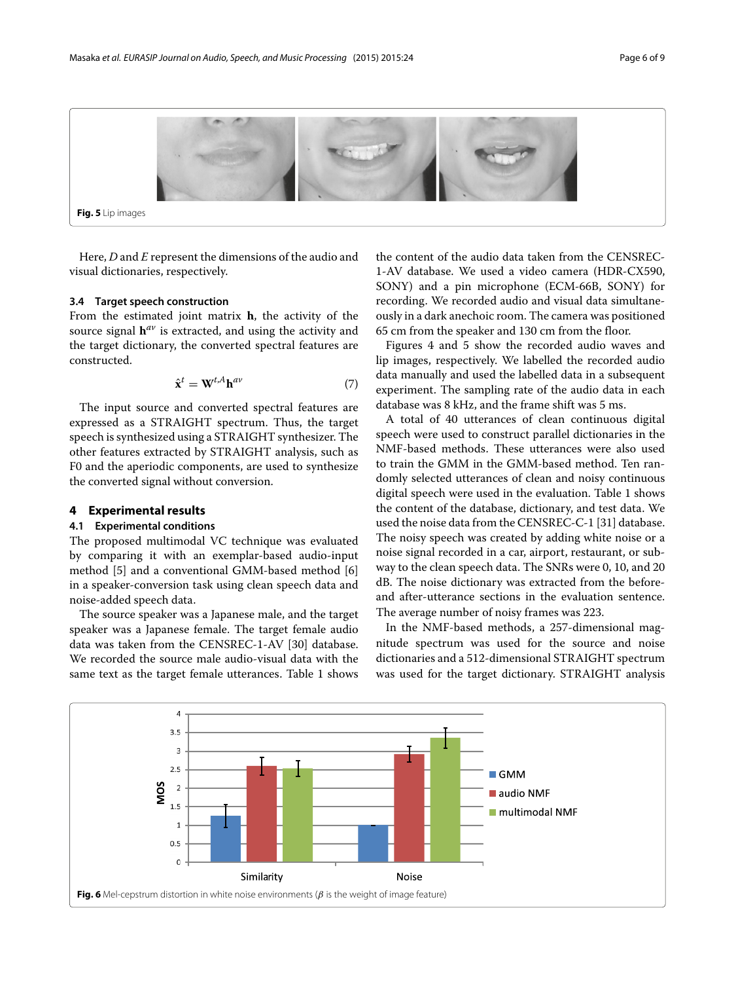

<span id="page-5-1"></span>Here, *D* and *E* represent the dimensions of the audio and visual dictionaries, respectively.

#### **3.4 Target speech construction**

From the estimated joint matrix **h**, the activity of the source signal **h***av* is extracted, and using the activity and the target dictionary, the converted spectral features are constructed.

$$
\hat{\mathbf{x}}^t = \mathbf{W}^{t, A} \mathbf{h}^{av} \tag{7}
$$

The input source and converted spectral features are expressed as a STRAIGHT spectrum. Thus, the target speech is synthesized using a STRAIGHT synthesizer. The other features extracted by STRAIGHT analysis, such as F0 and the aperiodic components, are used to synthesize the converted signal without conversion.

#### <span id="page-5-0"></span>**4 Experimental results**

#### **4.1 Experimental conditions**

The proposed multimodal VC technique was evaluated by comparing it with an exemplar-based audio-input method [\[5\]](#page-7-4) and a conventional GMM-based method [\[6\]](#page-7-5) in a speaker-conversion task using clean speech data and noise-added speech data.

The source speaker was a Japanese male, and the target speaker was a Japanese female. The target female audio data was taken from the CENSREC-1-AV [\[30\]](#page-8-8) database. We recorded the source male audio-visual data with the same text as the target female utterances. Table [1](#page-4-1) shows the content of the audio data taken from the CENSREC-1-AV database. We used a video camera (HDR-CX590, SONY) and a pin microphone (ECM-66B, SONY) for recording. We recorded audio and visual data simultaneously in a dark anechoic room. The camera was positioned 65 cm from the speaker and 130 cm from the floor.

Figures [4](#page-4-2) and [5](#page-5-1) show the recorded audio waves and lip images, respectively. We labelled the recorded audio data manually and used the labelled data in a subsequent experiment. The sampling rate of the audio data in each database was 8 kHz, and the frame shift was 5 ms.

A total of 40 utterances of clean continuous digital speech were used to construct parallel dictionaries in the NMF-based methods. These utterances were also used to train the GMM in the GMM-based method. Ten randomly selected utterances of clean and noisy continuous digital speech were used in the evaluation. Table [1](#page-4-1) shows the content of the database, dictionary, and test data. We used the noise data from the CENSREC-C-1 [\[31\]](#page-8-9) database. The noisy speech was created by adding white noise or a noise signal recorded in a car, airport, restaurant, or subway to the clean speech data. The SNRs were 0, 10, and 20 dB. The noise dictionary was extracted from the beforeand after-utterance sections in the evaluation sentence. The average number of noisy frames was 223.

In the NMF-based methods, a 257-dimensional magnitude spectrum was used for the source and noise dictionaries and a 512-dimensional STRAIGHT spectrum was used for the target dictionary. STRAIGHT analysis

<span id="page-5-2"></span>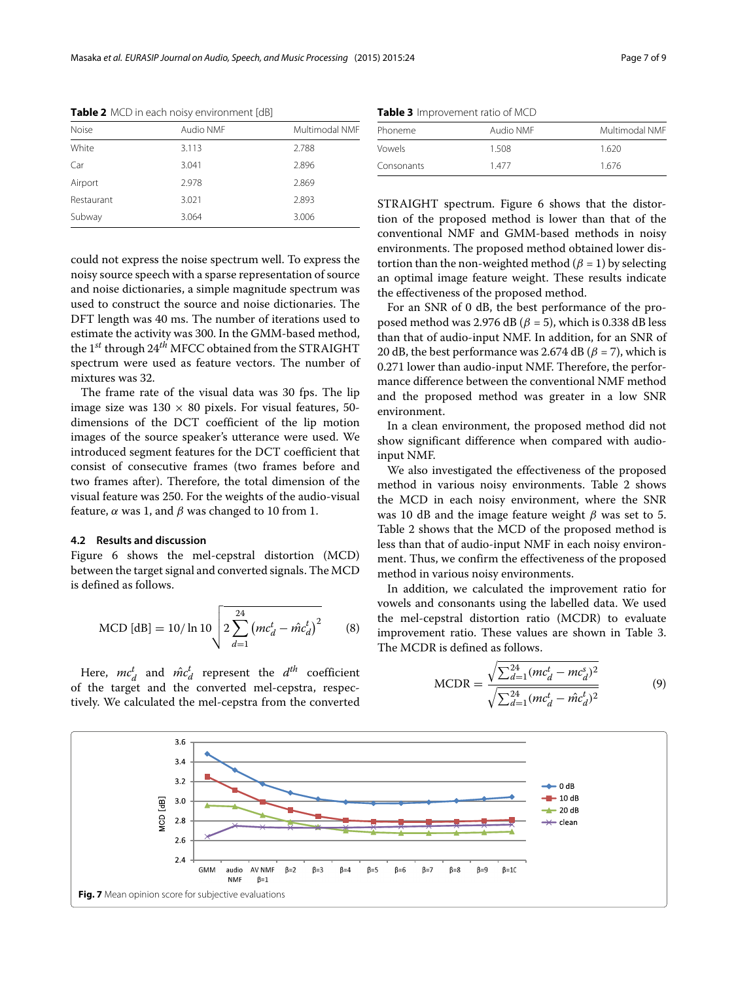| Noise      | Audio NMF | Multimodal NMF |  |
|------------|-----------|----------------|--|
| White      | 3.113     | 2.788          |  |
| Car        | 3.041     | 2.896          |  |
| Airport    | 2.978     | 2.869          |  |
| Restaurant | 3.021     | 2.893          |  |
| Subway     | 3.064     | 3.006          |  |
|            |           |                |  |

<span id="page-6-0"></span>**Table 2** MCD in each noisy environment [dB]

could not express the noise spectrum well. To express the noisy source speech with a sparse representation of source and noise dictionaries, a simple magnitude spectrum was used to construct the source and noise dictionaries. The DFT length was 40 ms. The number of iterations used to estimate the activity was 300. In the GMM-based method, the 1*st* through 24*th* MFCC obtained from the STRAIGHT spectrum were used as feature vectors. The number of mixtures was 32.

The frame rate of the visual data was 30 fps. The lip image size was  $130 \times 80$  pixels. For visual features, 50dimensions of the DCT coefficient of the lip motion images of the source speaker's utterance were used. We introduced segment features for the DCT coefficient that consist of consecutive frames (two frames before and two frames after). Therefore, the total dimension of the visual feature was 250. For the weights of the audio-visual feature,  $\alpha$  was 1, and  $\beta$  was changed to 10 from 1.

#### **4.2 Results and discussion**

Figure [6](#page-5-2) shows the mel-cepstral distortion (MCD) between the target signal and converted signals. The MCD is defined as follows.

MCD [dB] = 10/ ln 10 
$$
\sqrt{2 \sum_{d=1}^{24} (mc_d^t - \hat{mc}_d^t)^2}
$$
 (8)

Here,  $mc_d^t$  and  $\hat{mc}_d^t$  represent the  $d^{th}$  coefficient of the target and the converted mel-cepstra, respectively. We calculated the mel-cepstra from the converted

**Table 3** Improvement ratio of MCD

<span id="page-6-1"></span>

| Phoneme    | Audio NMF | Multimodal NMF |  |
|------------|-----------|----------------|--|
|            |           |                |  |
| Vowels     | 1.508     | 1.620          |  |
| Consonants | 1477      | 1.676          |  |

STRAIGHT spectrum. Figure [6](#page-5-2) shows that the distortion of the proposed method is lower than that of the conventional NMF and GMM-based methods in noisy environments. The proposed method obtained lower distortion than the non-weighted method ( $\beta = 1$ ) by selecting an optimal image feature weight. These results indicate the effectiveness of the proposed method.

For an SNR of 0 dB, the best performance of the proposed method was 2.976 dB ( $\beta$  = 5), which is 0.338 dB less than that of audio-input NMF. In addition, for an SNR of 20 dB, the best performance was 2.674 dB ( $\beta$  = 7), which is 0.271 lower than audio-input NMF. Therefore, the performance difference between the conventional NMF method and the proposed method was greater in a low SNR environment.

In a clean environment, the proposed method did not show significant difference when compared with audioinput NMF.

We also investigated the effectiveness of the proposed method in various noisy environments. Table [2](#page-6-0) shows the MCD in each noisy environment, where the SNR was 10 dB and the image feature weight  $\beta$  was set to 5. Table [2](#page-6-0) shows that the MCD of the proposed method is less than that of audio-input NMF in each noisy environment. Thus, we confirm the effectiveness of the proposed method in various noisy environments.

In addition, we calculated the improvement ratio for vowels and consonants using the labelled data. We used the mel-cepstral distortion ratio (MCDR) to evaluate improvement ratio. These values are shown in Table [3.](#page-6-1) The MCDR is defined as follows.

$$
MCDR = \frac{\sqrt{\sum_{d=1}^{24} (mc_d^t - mc_d^s)^2}}{\sqrt{\sum_{d=1}^{24} (mc_d^t - \hat{mc}_d^t)^2}}
$$
(9)

<span id="page-6-2"></span>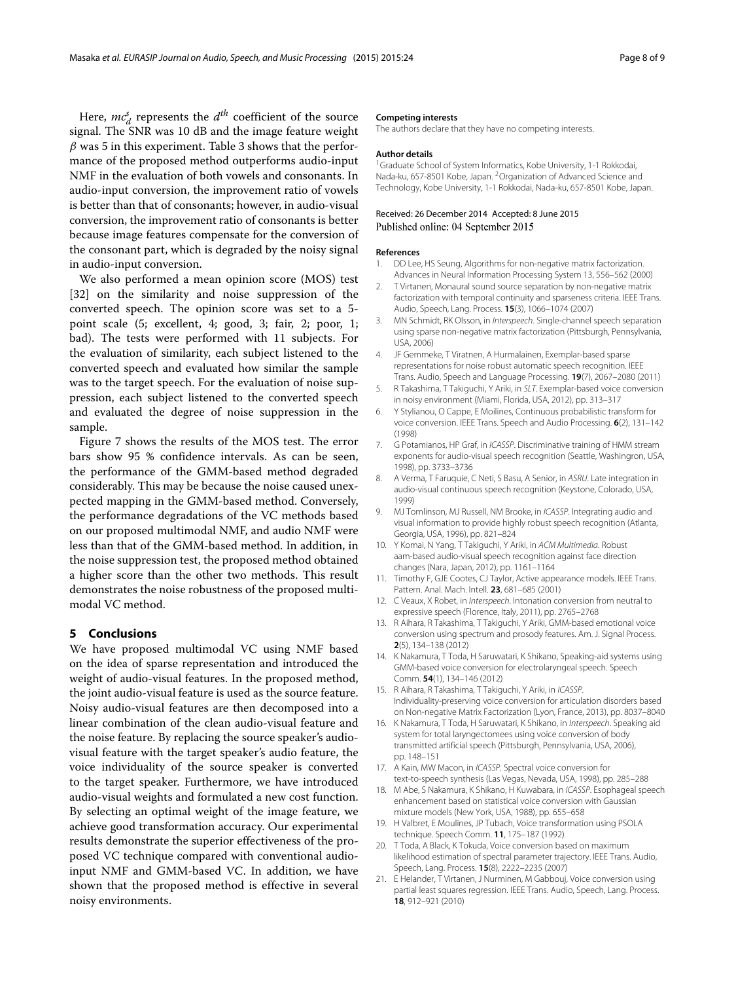Here,  $mc_d^s$  represents the  $d^{th}$  coefficient of the source signal. The SNR was 10 dB and the image feature weight  $\beta$  was 5 in this experiment. Table [3](#page-6-1) shows that the performance of the proposed method outperforms audio-input NMF in the evaluation of both vowels and consonants. In audio-input conversion, the improvement ratio of vowels is better than that of consonants; however, in audio-visual conversion, the improvement ratio of consonants is better because image features compensate for the conversion of the consonant part, which is degraded by the noisy signal in audio-input conversion.

We also performed a mean opinion score (MOS) test [\[32\]](#page-8-10) on the similarity and noise suppression of the converted speech. The opinion score was set to a 5 point scale (5; excellent, 4; good, 3; fair, 2; poor, 1; bad). The tests were performed with 11 subjects. For the evaluation of similarity, each subject listened to the converted speech and evaluated how similar the sample was to the target speech. For the evaluation of noise suppression, each subject listened to the converted speech and evaluated the degree of noise suppression in the sample.

Figure [7](#page-6-2) shows the results of the MOS test. The error bars show 95 % confidence intervals. As can be seen, the performance of the GMM-based method degraded considerably. This may be because the noise caused unexpected mapping in the GMM-based method. Conversely, the performance degradations of the VC methods based on our proposed multimodal NMF, and audio NMF were less than that of the GMM-based method. In addition, in the noise suppression test, the proposed method obtained a higher score than the other two methods. This result demonstrates the noise robustness of the proposed multimodal VC method.

#### <span id="page-7-11"></span>**5 Conclusions**

We have proposed multimodal VC using NMF based on the idea of sparse representation and introduced the weight of audio-visual features. In the proposed method, the joint audio-visual feature is used as the source feature. Noisy audio-visual features are then decomposed into a linear combination of the clean audio-visual feature and the noise feature. By replacing the source speaker's audiovisual feature with the target speaker's audio feature, the voice individuality of the source speaker is converted to the target speaker. Furthermore, we have introduced audio-visual weights and formulated a new cost function. By selecting an optimal weight of the image feature, we achieve good transformation accuracy. Our experimental results demonstrate the superior effectiveness of the proposed VC technique compared with conventional audioinput NMF and GMM-based VC. In addition, we have shown that the proposed method is effective in several noisy environments.

#### **Competing interests**

The authors declare that they have no competing interests.

#### **Author details**

<sup>1</sup> Graduate School of System Informatics, Kobe University, 1-1 Rokkodai, Nada-ku, 657-8501 Kobe, Japan. 2Organization of Advanced Science and Technology, Kobe University, 1-1 Rokkodai, Nada-ku, 657-8501 Kobe, Japan.

#### Received: 26 December 2014 Accepted: 8 June 2015 Published online: 04 September 2015

#### **References**

- <span id="page-7-0"></span>1. DD Lee, HS Seung, Algorithms for non-negative matrix factorization. Advances in Neural Information Processing System 13, 556–562 (2000)
- <span id="page-7-1"></span>2. T Virtanen, Monaural sound source separation by non-negative matrix factorization with temporal continuity and sparseness criteria. IEEE Trans. Audio, Speech, Lang. Process. **15**(3), 1066–1074 (2007)
- <span id="page-7-2"></span>3. MN Schmidt, RK Olsson, in Interspeech. Single-channel speech separation using sparse non-negative matrix factorization (Pittsburgh, Pennsylvania, USA, 2006)
- <span id="page-7-3"></span>4. JF Gemmeke, T Viratnen, A Hurmalainen, Exemplar-based sparse representations for noise robust automatic speech recognition. IEEE Trans. Audio, Speech and Language Processing. **19**(7), 2067–2080 (2011)
- <span id="page-7-4"></span>5. R Takashima, T Takiguchi, Y Ariki, in SLT. Exemplar-based voice conversion in noisy environment (Miami, Florida, USA, 2012), pp. 313–317
- <span id="page-7-5"></span>6. Y Stylianou, O Cappe, E Moilines, Continuous probabilistic transform for voice conversion. IEEE Trans. Speech and Audio Processing. **6**(2), 131–142 (1998)
- <span id="page-7-6"></span>7. G Potamianos, HP Graf, in ICASSP. Discriminative training of HMM stream exponents for audio-visual speech recognition (Seattle, Washingron, USA, 1998), pp. 3733–3736
- <span id="page-7-7"></span>8. A Verma, T Faruquie, C Neti, S Basu, A Senior, in ASRU. Late integration in audio-visual continuous speech recognition (Keystone, Colorado, USA, 1999)
- <span id="page-7-8"></span>9. MJ Tomlinson, MJ Russell, NM Brooke, in ICASSP. Integrating audio and visual information to provide highly robust speech recognition (Atlanta, Georgia, USA, 1996), pp. 821–824
- <span id="page-7-9"></span>10. Y Komai, N Yang, T Takiguchi, Y Ariki, in ACM Multimedia. Robust aam-based audio-visual speech recognition against face direction changes (Nara, Japan, 2012), pp. 1161–1164
- <span id="page-7-10"></span>11. Timothy F, GJE Cootes, CJ Taylor, Active appearance models. IEEE Trans. Pattern. Anal. Mach. Intell. **23**, 681–685 (2001)
- <span id="page-7-12"></span>12. C Veaux, X Robet, in Interspeech. Intonation conversion from neutral to expressive speech (Florence, Italy, 2011), pp. 2765–2768
- <span id="page-7-13"></span>13. R Aihara, R Takashima, T Takiguchi, Y Ariki, GMM-based emotional voice conversion using spectrum and prosody features. Am. J. Signal Process. **2**(5), 134–138 (2012)
- <span id="page-7-14"></span>14. K Nakamura, T Toda, H Saruwatari, K Shikano, Speaking-aid systems using GMM-based voice conversion for electrolaryngeal speech. Speech Comm. **54**(1), 134–146 (2012)
- <span id="page-7-15"></span>15. R Aihara, R Takashima, T Takiguchi, Y Ariki, in ICASSP. Individuality-preserving voice conversion for articulation disorders based on Non-negative Matrix Factorization (Lyon, France, 2013), pp. 8037–8040
- <span id="page-7-16"></span>16. K Nakamura, T Toda, H Saruwatari, K Shikano, in Interspeech. Speaking aid system for total laryngectomees using voice conversion of body transmitted artificial speech (Pittsburgh, Pennsylvania, USA, 2006), pp. 148–151
- <span id="page-7-17"></span>17. A Kain, MW Macon, in ICASSP. Spectral voice conversion for text-to-speech synthesis (Las Vegas, Nevada, USA, 1998), pp. 285–288
- <span id="page-7-18"></span>18. M Abe, S Nakamura, K Shikano, H Kuwabara, in ICASSP, Esophageal speech enhancement based on statistical voice conversion with Gaussian mixture models (New York, USA, 1988), pp. 655–658
- <span id="page-7-19"></span>19. H Valbret, E Moulines, JP Tubach, Voice transformation using PSOLA technique. Speech Comm. **11**, 175–187 (1992)
- <span id="page-7-20"></span>20. T Toda, A Black, K Tokuda, Voice conversion based on maximum likelihood estimation of spectral parameter trajectory. IEEE Trans. Audio, Speech, Lang. Process. **15**(8), 2222–2235 (2007)
- <span id="page-7-21"></span>21. E Helander, T Virtanen, J Nurminen, M Gabbouj, Voice conversion using partial least squares regression. IEEE Trans. Audio, Speech, Lang. Process. **18**, 912–921 (2010)